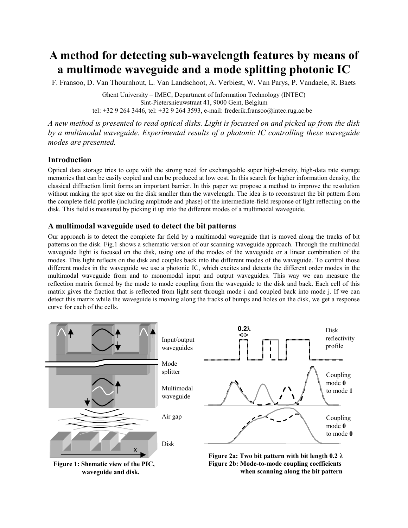# **A method for detecting sub-wavelength features by means of a multimode waveguide and a mode splitting photonic IC**

F. Fransoo, D. Van Thournhout, L. Van Landschoot, A. Verbiest, W. Van Parys, P. Vandaele, R. Baets

Ghent University – IMEC, Department of Information Technology (INTEC) Sint-Pietersnieuwstraat 41, 9000 Gent, Belgium tel: +32 9 264 3446, tel: +32 9 264 3593, e-mail: frederik.fransoo@intec.rug.ac.be

*A new method is presented to read optical disks. Light is focussed on and picked up from the disk by a multimodal waveguide. Experimental results of a photonic IC controlling these waveguide modes are presented.*

## **Introduction**

Optical data storage tries to cope with the strong need for exchangeable super high-density, high-data rate storage memories that can be easily copied and can be produced at low cost. In this search for higher information density, the classical diffraction limit forms an important barrier. In this paper we propose a method to improve the resolution without making the spot size on the disk smaller than the wavelength. The idea is to reconstruct the bit pattern from the complete field profile (including amplitude and phase) of the intermediate-field response of light reflecting on the disk. This field is measured by picking it up into the different modes of a multimodal waveguide.

## **A multimodal waveguide used to detect the bit patterns**

Our approach is to detect the complete far field by a multimodal waveguide that is moved along the tracks of bit patterns on the disk. Fig.1 shows a schematic version of our scanning waveguide approach. Through the multimodal waveguide light is focused on the disk, using one of the modes of the waveguide or a linear combination of the modes. This light reflects on the disk and couples back into the different modes of the waveguide. To control those different modes in the waveguide we use a photonic IC, which excites and detects the different order modes in the multimodal waveguide from and to monomodal input and output waveguides. This way we can measure the reflection matrix formed by the mode to mode coupling from the waveguide to the disk and back. Each cell of this matrix gives the fraction that is reflected from light sent through mode i and coupled back into mode j. If we can detect this matrix while the waveguide is moving along the tracks of bumps and holes on the disk, we get a response curve for each of the cells.



 **waveguide and disk.**